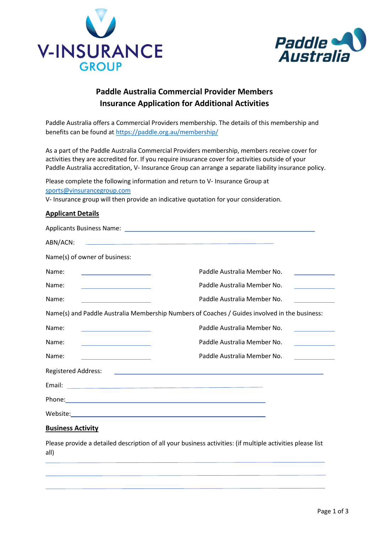



# **Paddle Australia Commercial Provider Members Insurance Application for Additional Activities**

Paddle Australia offers a Commercial Providers membership. The details of this membership and benefits can be found at <https://paddle.org.au/membership/>

As a part of the Paddle Australia Commercial Providers membership, members receive cover for activities they are accredited for. If you require insurance cover for activities outside of your Paddle Australia accreditation, V- Insurance Group can arrange a separate liability insurance policy.

Please complete the following information and return to V- Insurance Group at [sports@vinsurancegroup.com](mailto:sports@vinsurancegroup.com)

V- Insurance group will then provide an indicative quotation for your consideration.

### **Applicant Details**

| ABN/ACN:<br><u> 1980 - Jan Samuel Barbara, martin a shekara tsara 1980 - An tsara 1980 - An tsara 1980 - An tsara 1980 - An t</u>                                                                                                             |                                                                                                                      |
|-----------------------------------------------------------------------------------------------------------------------------------------------------------------------------------------------------------------------------------------------|----------------------------------------------------------------------------------------------------------------------|
| Name(s) of owner of business:                                                                                                                                                                                                                 |                                                                                                                      |
| Name:<br><u> 1989 - Johann Barn, mars ann an t-Amhain</u>                                                                                                                                                                                     | Paddle Australia Member No.                                                                                          |
| Name:<br><u> 1980 - Johann Barbara, martxa alemaniar a</u>                                                                                                                                                                                    | Paddle Australia Member No.<br><u> 1990 - Jan Barbara III, martx</u>                                                 |
| Name:<br><u> 1990 - Johann Barn, mars ann an t-Alban ann an t-Alban ann an t-Alban ann an t-Alban ann an t-Alban ann an t-Alban ann an t-Alban ann an t-Alban ann an t-Alban ann an t-Alban ann an t-Alban ann an t-Alban ann an t-Alban </u> | Paddle Australia Member No.<br><u> 1999 - Jan Jawa</u>                                                               |
| Name(s) and Paddle Australia Membership Numbers of Coaches / Guides involved in the business:                                                                                                                                                 |                                                                                                                      |
| Name:                                                                                                                                                                                                                                         | Paddle Australia Member No.                                                                                          |
| Name:<br><u> 1989 - Johann Barn, mars eta inperiodo</u>                                                                                                                                                                                       | Paddle Australia Member No.                                                                                          |
| Name:                                                                                                                                                                                                                                         | Paddle Australia Member No.<br><u> 1989 - Andrea State Barnett, amerikansk politiker (</u>                           |
| <b>Registered Address:</b>                                                                                                                                                                                                                    | <u> Andreas Andreas Andreas Andreas Andreas Andreas Andreas Andreas Andreas Andreas Andreas Andreas Andreas Andr</u> |
|                                                                                                                                                                                                                                               |                                                                                                                      |
|                                                                                                                                                                                                                                               |                                                                                                                      |
|                                                                                                                                                                                                                                               |                                                                                                                      |

## **Business Activity**

Please provide a detailed description of all your business activities: (if multiple activities please list all)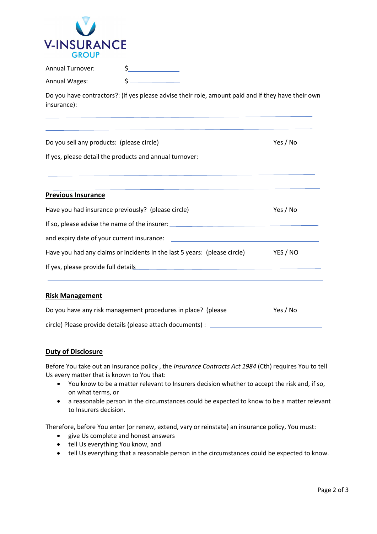

| <b>Annual Turnover:</b> |  |
|-------------------------|--|
|                         |  |

| <b>Annual Wages:</b> |  |
|----------------------|--|
|----------------------|--|

Do you have contractors?: (if yes please advise their role, amount paid and if they have their own insurance):

| Do you sell any products: (please circle)                                                                                                                                                                                      | Yes / No |
|--------------------------------------------------------------------------------------------------------------------------------------------------------------------------------------------------------------------------------|----------|
| If yes, please detail the products and annual turnover:                                                                                                                                                                        |          |
| <u> 1989 - John Stein, Amerikaansk politiker († 1908)</u>                                                                                                                                                                      |          |
| <b>Previous Insurance</b>                                                                                                                                                                                                      |          |
| Have you had insurance previously? (please circle)                                                                                                                                                                             | Yes / No |
| If so, please advise the name of the insurer: __________________________________                                                                                                                                               |          |
| and expiry date of your current insurance: experience of the state of the state of the state of the state of the state of the state of the state of the state of the state of the state of the state of the state of the state |          |
| Have you had any claims or incidents in the last 5 years: (please circle)                                                                                                                                                      | YES / NO |
|                                                                                                                                                                                                                                |          |
|                                                                                                                                                                                                                                |          |
| <b>Risk Management</b>                                                                                                                                                                                                         |          |
| Do you have any risk management procedures in place? (please                                                                                                                                                                   | Yes / No |
| circle) Please provide details (please attach documents) :                                                                                                                                                                     |          |

#### **Duty of Disclosure**

Before You take out an insurance policy , the *Insurance Contracts Act 1984* (Cth) requires You to tell Us every matter that is known to You that:

- You know to be a matter relevant to Insurers decision whether to accept the risk and, if so, on what terms, or
- a reasonable person in the circumstances could be expected to know to be a matter relevant to Insurers decision.

Therefore, before You enter (or renew, extend, vary or reinstate) an insurance policy, You must:

- give Us complete and honest answers
- tell Us everything You know, and
- tell Us everything that a reasonable person in the circumstances could be expected to know.